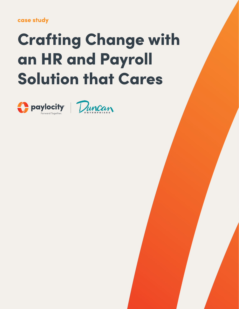## case study

# Crafting Change with an HR and Payroll Solution that Cares



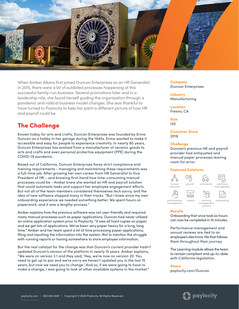

When Amber Aikens first joined Duncan Enterprises as an HR Generalist in 2015, there were a lot of outdated processes happening at this successful family-run business. Several promotions later and in a leadership role, she found herself guiding the organization through a pandemic and radical business model changes. She was thankful to have turned to Paylocity to help her paint a different picture of how HR and payroll could be.

## The Challenge

Known today for arts and crafts, Duncan Enterprises was founded by Erma Duncan as a hobby in her garage during the 1940s. Erma wanted to make it accessible and easy for people to experience creativity. In nearly 80 years, Duncan Enterprises has evolved from a manufacturer of ceramic goods to arts and crafts and even personal protective equipment (PPE) during the COVID-19 pandemic.

Based out of California, Duncan Enterprises faces strict compliance and training requirements - managing and maintaining these requirements was a full-time job. After growing her own career from HR Generalist to Vice President of HR – and knowing first-hand how time-consuming manual processes could be - Amber knew she wanted an HR and payroll solution that could automate tasks and support her employee engagement efforts. But not all of the team members considered themselves tech savvy, and the idea of new software stopped many in their tracks. "But I knew since my own onboarding experience we needed something better. We spent hours on paperwork, and it was a lengthy process."

Amber explains how the previous software was not user-friendly and required many manual processes such as paper applications. Duncan had never utilized an online application system prior to Paylocity. "It was all hard copies on paper, and we get lots of applications. We've been very paper heavy for a long, long time." Amber and her team spent a lot of time processing paper applications, filing and inputting the information into the system. Not to mention the struggle with running reports or having somewhere to store employee information.

But the real catalyst for the change was that Duncan's current provider hadn't updated Duncan's version of the platform in nearly 15 years. Amber explains, "We were on version 3.1 and they said, 'Hey, we're now on version 20. You need to get up to par and we're sorry we haven't updated you in the last 15 years, but now we need you to change.' And so, if we were going to have to make a change, I was going to look at other available systems in the market."

Company Duncan Enterprises

**Industry** Manufacturing

Location Fresno, CA

Size 135

Customer Since 2019

## **Challenge**

Duncan's previous HR and payroll provider had antiquated and manual paper processes leaving room for error.

## Featured Solutions



#### **Results**

Onboarding that once took six hours can now be completed in 15 minutes.

Performance management and annual reviews are tied to an employee's electronic file that follows them throughout their journey.

The Learning module allows the team to remain compliant and up-to-date with California legislation.

#### **Share**

[paylocity.com/Duncan](https://www.paylocity.com/resources/resource-library/case-study/crafting-change-with-hr-payroll-solution-that-cares/?utm_source=offline&utm_medium=pdf&utm_campaign=casestudy&asset=15022501a_duncan)

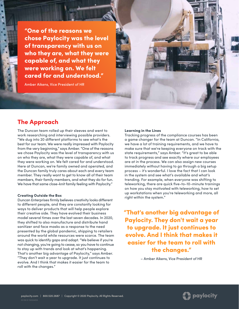"One of the reasons we chose Paylocity was the level of transparency with us on who they are, what they were capable of, and what they were working on. We felt cared for and understood."

Amber Aikens, Vice President of HR

## The Approach

The Duncan team rolled up their sleeves and went to work researching and interviewing possible providers. "We dug into 20 different platforms to see what's the best for our team. We were really impressed with Paylocity from the very beginning," says Amber. "One of the reasons we chose Paylocity was the level of transparency with us on who they are, what they were capable of, and what they were working on. We felt cared for and understood. Here at Duncan, we're family owned and operated, and the Duncan family truly cares about each and every team member. They really want to get to know all of their team members, their family members, and what they do for fun. We have that same close-knit family feeling with Paylocity."

#### Creating Outside the Box

Duncan Enterprises firmly believes creativity looks different to different people, and they are constantly looking for ways to deliver products that will help people explore their creative side. They have evolved their business model several times over the last seven decades. In 2020, they shifted to also manufacture and distribute hand sanitizer and face masks as a response to the need presented by the global pandemic, shipping to retailers around the world while resources were scarce. The team was quick to identify gaps and adapt. "We believe if you're not changing, you're going to cease, so you have to continue to stay up with trends and look at what's happening. That's another big advantage of Paylocity," says Amber. "They don't wait a year to upgrade. It just continues to evolve. And I think that makes it easier for the team to roll with the changes."

### Learning in the Lines

Tracking progress of the compliance courses has been a game changer for the team at Duncan. "In California, we have a lot of training requirements, and we have to make sure that we're keeping everyone on track with the state requirements," says Amber. "It's great to be able to track progress and see exactly where our employees are at in the process. We can also assign new courses immediately without having to go through a big setup process – it's wonderful. I love the fact that I can look in the system and see what's available and what's trending. For example, when everyone was shifting to teleworking, there are quick five-to-10-minute trainings on how you stay motivated with teleworking, how to set up workstations when you're teleworking and more, all right within the system."

"That's another big advantage of Paylocity. They don't wait a year to upgrade. It just continues to evolve. And I think that makes it easier for the team to roll with the changes."

– Amber Aikens, Vice President of HR

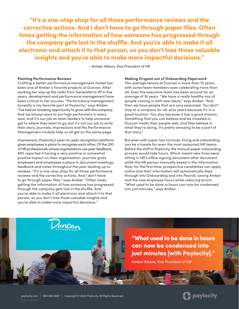"It's a one-stop shop for all those performance reviews and the corrective actions. And I don't have to go through paper files. Often times getting the information of how someone has progressed through the company gets lost in the shuffle. And you're able to make it all electronic and attach it to that person, so you don't lose those valuable insights and you're able to make more impactful decisions."

– Amber Aikens, Vice President of HR

## Painting Performance Reviews

Crafting a better performance management model has been one of Amber's favorite projects at Duncan. After working her way up the ranks from Generalist to VP in five years, development and performance management have been critical to her success. "Performance management honestly is my favorite part of Paylocity," says Amber. "I've had an amazing opportunity to grow with this company. And we always want to put high performers in every seat, and it's our job as team leaders to help someone get to where they want to go, but it's not our job to write their story. Journals, Impressions and the Performance Management module help us all get on the same page.

Impressions, Paylocity's peer-to-peer recognition platform gives employees a place to recognize each other. Of the 29% of HR professionals whose organizations use peer feedback, 89% reported it having a very positive or somewhat positive impact on their organization. Journals gives employers and employees a place to document meetings, feedback and notes throughout the year leading up to reviews. "It's a one-stop shop for all those performance reviews and the corrective actions. And I don't have to go through paper files," says Amber. "Often times getting the information of how someone has progressed through the company gets lost in the shuffle. And you're able to make it all electronic and attach it to that person, so you don't lose those valuable insights and you're able to make more impactful decisions."

Luncan

#### Making Origami out of Onboarding Paperwork

The average tenure at Duncan is more than 10 years, with some team members even celebrating more than 40. Even the executive team has been around for an average of 16 years. "We have a really healthy mix of people coming in with new ideas," says Amber. "And then we have people that are very seasoned. You don't stay at a company for 40-plus years because it's in a good location. You stay because it has a good mission. Something that you can believe and be invested in. Duncan treats their people well, and they believe in what they're doing. It's pretty amazing to be a part of that story."

But even with super-low turnover, hiring and onboarding can be a hassle for even the most seasoned HR teams. Before the shift to Paylocity, the manual paper onboarding process would take hours. Which meant new hires were sitting in HR's office signing document after document while the HR person manually keyed in the information. Now, for the first time, prospective candidates can apply online and their information will automatically feed through into Onboarding and into Payroll, saving Amber and the new employee hours while reducing errors. "What used to be done in hours can now be condensed into just minutes," says Amber.

## "What used to be done in hours can now be condensed into just minutes [with Paylocity]."

Amber Aikens, Vice President of HR



**SCRUSSES**